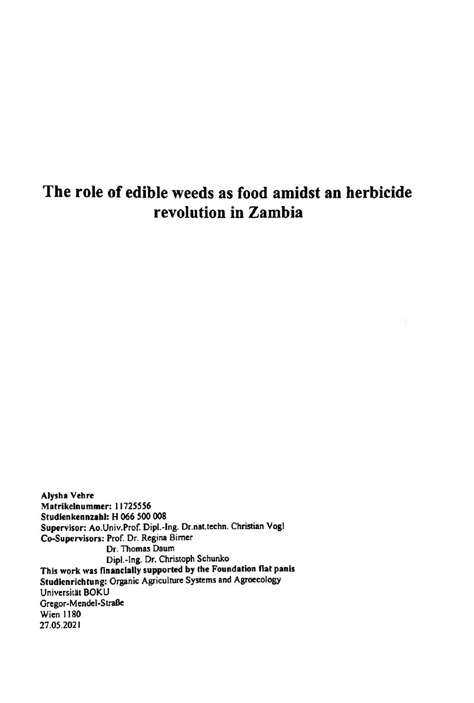# **The role of edible weeds as food amidst an herbicide revolution in Zambia**

**Alysha Vehre** Matrikelnummer: 11725556 Studienkennzahl: H 066 500 008 Supervisor: Ao.Univ.Prof. Dipl.-Ing. Dr.nat.techn. Christian Vogt **Co-Supervisors:** Prof. Dr. **Regina** Bimer Dr. Thomas Daum Dipl.-Ing. Dr. Christoph Schunko **This work was nnanclally supported by the Foundation flat panls Studienrichtung:** Organic Agriculture Systemsand Agroecology Studienrichtung: Organic Agriculture Systems and Agroecology<br>Universität BOKU Gregor-Mendel-Straße Wien 1180 27.05.2021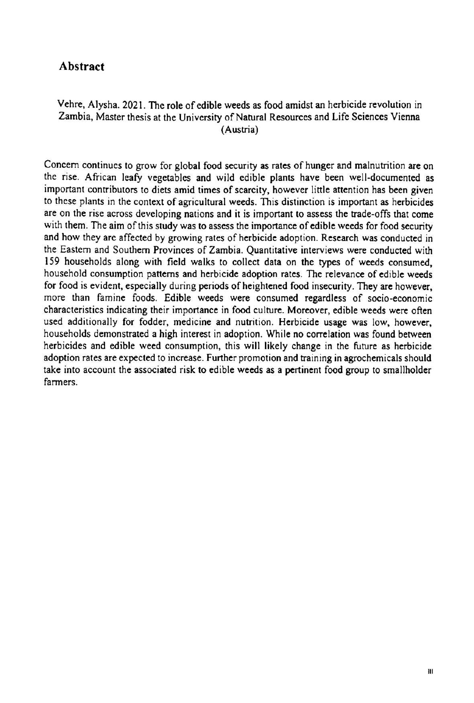## **Abstract**

#### Vehre, Alysha. 2021. The role of edible weeds as food amidst an herbicide revolution in Zambia, Master thesis at the University of Natural Resources and Life Sciences Vienna (Austria)

Concem continues to grow for global food security as rates of hunger and malnutrition are on the rise. African leafy vegetables and wild cdible plants have been well-documentcd as important contributors to diets amid times of scarcity, however little attention has been given<br>to these plants in the context of agricultural weeds. This distinction is important as herbicides to these plants in the context of agricultural weeds. This distinction is important as herbicides are on the rise across developing nations and it is important to assess the trade-offs that come with them. The aim of this study was to assess the importance of edible weeds for food security and how they arc affected by growing rates of herbicide adoption. Research was conducted in the Eastern and Southern Provinces of Zambia. Quantitative interviews were conducted with 159 households along with ficld walks to collect data on the types of weeds consumed, household consumption pattems and herbicide adoption rates. The relevance of cdible weeds for food is evident, especially during periods of heightened food insecurity. They are however, more than famine foods. Edible weeds were consumed regardless of socio-economic characteristics indicating their importance in food culture. Moreover, edible weeds were often used additionally for fodder, medicine and nutrition. Herbicide usage was low, however, households demonstrated a high interest in adoption. Whilc no correlation was found between herbicides and edible weed consumption, this will likely change in the future as herbicide adoption rates are expected to increase. Further promotion and training in agrochemicals should take into account the associated risk to edible wecds as <sup>a</sup> pertinent food group to smallholder farmers.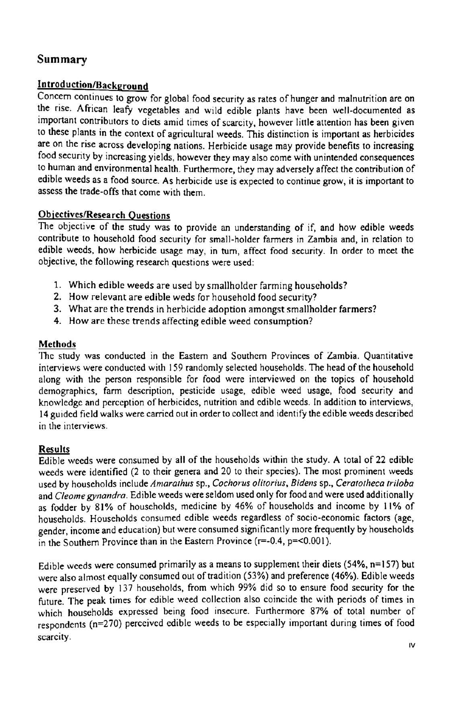# Summary

### lntroduction/Background

Concem continues to grow for global food security as rates of hunger and malnutrition are on the rise. African leafy vegetables and wild edible plants have been well-documented as important contributors to diets amid times of scarcity, however little attention has been given to thesc plants in the context of agricultural weeds. This distinction is important as herbicides are on thc rise across devcloping nations. Herbicide usage may provide benefits to increasing food security by increasing yields, however they may also come with unintended consequences to human and environmental health. Furthermore, they may adversely affect the contribution of edible weeds as a food source. As herbicide use is expected to continue grow, it is important to assess the trade-offs that come with them.

#### Objectives/Research Questions

The objcctive of the study was to provide an understanding of if, and how edible weeds contribute to houschold food sccurity for small-holder farmers in Zambia and, in rclation to edible wecds, how herbicide usage may, in turn, affect food security. In order to mcet the objective, the following research questions were used:

- 1. Which edible weeds are used by smallholder farming households?
- 2. How relevant are edible weds for household food security?
- 3. What are the trends in herbicide adoption amongst smallholder farmers?
- 4. Howare these trends affecting edible weed consumption?

#### **Methods**

The study was conducted in the Eastern and Southern Provinces of Zambia. Quantitative interviews were conducted with 159 randomly selected households. The head of the household along with thc person responsiblc for food were interviewed on the topics of household along with the person responsible for food were interviewed on the topics of household<br>demographics, farm description, pesticide usage, edible weed usage, food security and<br>knowledge and perception of herbicides, nutrition 14 guided field walks were carried out in order to collect and identify the edible weeds described in the interviews.

#### **Results**

Edible wecds were consumed by all of the households within the study. <sup>A</sup> total of 22 ediblc edible weeds were consumed by an of the households whilm the study. A total of 22 edible<br>weeds were identified (2 to their genera and 20 to their species). The most prominent weeds<br>used by households include Amarathus sp., used by households include Amarathus sp., Cochorus olitorius, Bidens sp., Ceratotheca triloba<br>and Cleome gynandra. Edible weeds were seldom used only for food and were used additionally as fodder by 81% of households, medicine by 46% of households and income by 11% of houscholds. Households consumed edible weeds regardless of socio-economic factors **(age,** gender, income and education) but were consumed significantly more frequently by houscholds in the Southern Province than in the Eastern Province (r=-0.4, p=<0.001).

Edible weeds were consumed primarily as a means to supplement their diets (54%,  $n=157$ ) but were also almost equally consumed out of tradition (53%) and preference (46%). Edible weeds werc preserved by 137 households, from which 99% did so to ensure food sccurity for the future. The peak times for edible weed collection also coincide the with periods of times in which households expressed being food insecure. Furthermore 87% of total number of respondents (n=270) perccivcd cdible weeds to be especially important during times of food scarcity.